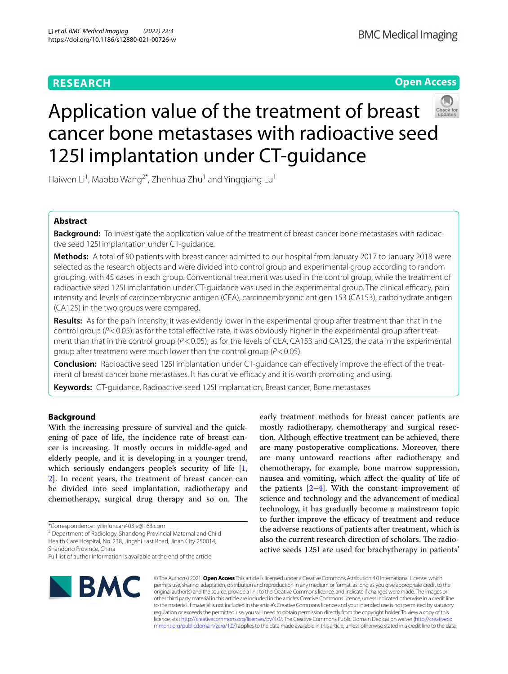## **RESEARCH**

## **Open Access**



# Application value of the treatment of breast cancer bone metastases with radioactive seed 125I implantation under CT-guidance

Haiwen Li<sup>1</sup>, Maobo Wang<sup>2\*</sup>, Zhenhua Zhu<sup>1</sup> and Yingqiang Lu<sup>1</sup>

## **Abstract**

**Background:** To investigate the application value of the treatment of breast cancer bone metastases with radioactive seed 125I implantation under CT-guidance.

**Methods:** A total of 90 patients with breast cancer admitted to our hospital from January 2017 to January 2018 were selected as the research objects and were divided into control group and experimental group according to random grouping, with 45 cases in each group. Conventional treatment was used in the control group, while the treatment of radioactive seed 125I implantation under CT-guidance was used in the experimental group. The clinical efficacy, pain intensity and levels of carcinoembryonic antigen (CEA), carcinoembryonic antigen 153 (CA153), carbohydrate antigen (CA125) in the two groups were compared.

**Results:** As for the pain intensity, it was evidently lower in the experimental group after treatment than that in the control group  $(P < 0.05)$ ; as for the total effective rate, it was obviously higher in the experimental group after treatment than that in the control group ( $P < 0.05$ ); as for the levels of CEA, CA153 and CA125, the data in the experimental group after treatment were much lower than the control group (*P*<0.05).

**Conclusion:** Radioactive seed 125I implantation under CT-guidance can effectively improve the effect of the treatment of breast cancer bone metastases. It has curative efficacy and it is worth promoting and using.

**Keywords:** CT-guidance, Radioactive seed 125I implantation, Breast cancer, Bone metastases

## **Background**

With the increasing pressure of survival and the quickening of pace of life, the incidence rate of breast cancer is increasing. It mostly occurs in middle-aged and elderly people, and it is developing in a younger trend, which seriously endangers people's security of life [\[1](#page-4-0), [2\]](#page-4-1). In recent years, the treatment of breast cancer can be divided into seed implantation, radiotherapy and chemotherapy, surgical drug therapy and so on. The

<sup>2</sup> Department of Radiology, Shandong Provincial Maternal and Child Health Care Hospital, No. 238, Jingshi East Road, Jinan City 250014, Shandong Province, China

Full list of author information is available at the end of the article



© The Author(s) 2021. **Open Access** This article is licensed under a Creative Commons Attribution 4.0 International License, which permits use, sharing, adaptation, distribution and reproduction in any medium or format, as long as you give appropriate credit to the original author(s) and the source, provide a link to the Creative Commons licence, and indicate if changes were made. The images or other third party material in this article are included in the article's Creative Commons licence, unless indicated otherwise in a credit line to the material. If material is not included in the article's Creative Commons licence and your intended use is not permitted by statutory regulation or exceeds the permitted use, you will need to obtain permission directly from the copyright holder. To view a copy of this licence, visit [http://creativecommons.org/licenses/by/4.0/.](http://creativecommons.org/licenses/by/4.0/) The Creative Commons Public Domain Dedication waiver ([http://creativeco](http://creativecommons.org/publicdomain/zero/1.0/) [mmons.org/publicdomain/zero/1.0/](http://creativecommons.org/publicdomain/zero/1.0/)) applies to the data made available in this article, unless otherwise stated in a credit line to the data.

early treatment methods for breast cancer patients are mostly radiotherapy, chemotherapy and surgical resection. Although efective treatment can be achieved, there are many postoperative complications. Moreover, there are many untoward reactions after radiotherapy and chemotherapy, for example, bone marrow suppression, nausea and vomiting, which afect the quality of life of the patients  $[2-4]$  $[2-4]$  $[2-4]$ . With the constant improvement of science and technology and the advancement of medical technology, it has gradually become a mainstream topic to further improve the efficacy of treatment and reduce the adverse reactions of patients after treatment, which is also the current research direction of scholars. The radioactive seeds 125I are used for brachytherapy in patients'

<sup>\*</sup>Correspondence: yilinluncan403ie@163.com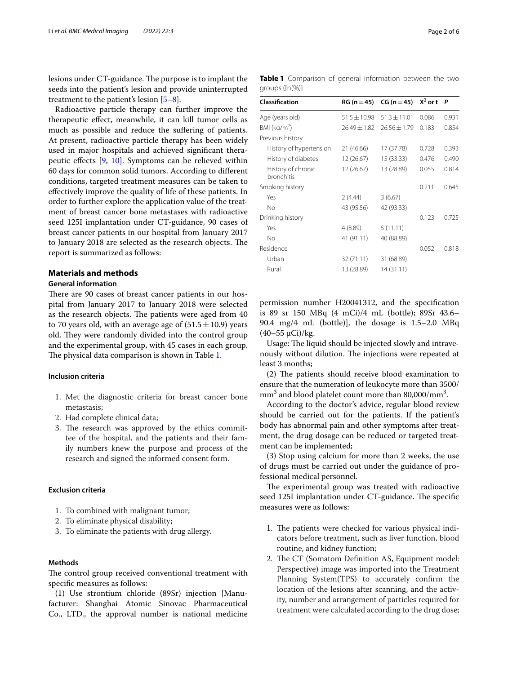lesions under CT-guidance. The purpose is to implant the seeds into the patient's lesion and provide uninterrupted treatment to the patient's lesion  $[5-8]$  $[5-8]$ .

Radioactive particle therapy can further improve the therapeutic efect, meanwhile, it can kill tumor cells as much as possible and reduce the sufering of patients. At present, radioactive particle therapy has been widely used in major hospitals and achieved signifcant therapeutic efects [\[9](#page-4-5), [10](#page-4-6)]. Symptoms can be relieved within 60 days for common solid tumors. According to diferent conditions, targeted treatment measures can be taken to efectively improve the quality of life of these patients. In order to further explore the application value of the treatment of breast cancer bone metastases with radioactive seed 125I implantation under CT-guidance, 90 cases of breast cancer patients in our hospital from January 2017 to January 2018 are selected as the research objects. The report is summarized as follows:

## **Materials and methods**

### **General information**

There are 90 cases of breast cancer patients in our hospital from January 2017 to January 2018 were selected as the research objects. The patients were aged from 40 to 70 years old, with an average age of  $(51.5 \pm 10.9)$  years old. They were randomly divided into the control group and the experimental group, with 45 cases in each group. The physical data comparison is shown in Table [1.](#page-1-0)

### **Inclusion criteria**

- 1. Met the diagnostic criteria for breast cancer bone metastasis;
- 2. Had complete clinical data;
- 3. The research was approved by the ethics committee of the hospital, and the patients and their family numbers knew the purpose and process of the research and signed the informed consent form.

## **Exclusion criteria**

- 1. To combined with malignant tumor;
- 2. To eliminate physical disability;
- 3. To eliminate the patients with drug allergy.

## **Methods**

The control group received conventional treatment with specifc measures as follows:

(1) Use strontium chloride (89Sr) injection [Manufacturer: Shanghai Atomic Sinovac Pharmaceutical Co., LTD., the approval number is national medicine

<span id="page-1-0"></span>

| Classification                          |                  | $RG(n=45)$ $CG (n=45)$ | $X^2$ or t $P$ |       |
|-----------------------------------------|------------------|------------------------|----------------|-------|
| Age (years old)                         | $51.5 \pm 10.98$ | $51.3 \pm 11.01$       | 0.086          | 0.931 |
| BMI ( $kg/m2$ )                         | 26.49±1.82       | $26.56 \pm 1.79$       | 0.183          | 0.854 |
| Previous history                        |                  |                        |                |       |
| History of hypertension                 | 21 (46.66)       | 17 (37.78)             | 0.728          | 0.393 |
| History of diabetes                     | 12 (26.67)       | 15 (33.33)             | 0.476          | 0.490 |
| History of chronic<br><b>bronchitis</b> | 12 (26.67)       | 13 (28.89)             | 0.055          | 0.814 |
| Smoking history                         |                  |                        | 0.211          | 0.645 |
| Yes                                     | 2 (4.44)         | 3(6.67)                |                |       |
| No                                      | 43 (95.56)       | 42 (93.33)             |                |       |
| Drinking history                        |                  |                        | 0.123          | 0.725 |
| Yes                                     | 4(8.89)          | 5(11.11)               |                |       |
| No                                      | 41 (91.11)       | 40 (88.89)             |                |       |
| Residence                               |                  |                        | 0.052          | 0.818 |
| Urban                                   | 32 (71.11)       | 31 (68.89)             |                |       |
| Rural                                   | 13 (28.89)       | 14 (31.11)             |                |       |

permission number H20041312, and the specifcation is 89 sr 150 MBq (4 mCi)/4 mL (bottle); 89Sr 43.6– 90.4 mg/4 mL (bottle)], the dosage is 1.5–2.0 MBq (40–55 μCi)/kg.

Usage: The liquid should be injected slowly and intravenously without dilution. The injections were repeated at least 3 months;

 $(2)$  The patients should receive blood examination to ensure that the numeration of leukocyte more than 3500/  $mm<sup>3</sup>$  and blood platelet count more than 80,000/mm<sup>3</sup>.

According to the doctor's advice, regular blood review should be carried out for the patients. If the patient's body has abnormal pain and other symptoms after treatment, the drug dosage can be reduced or targeted treatment can be implemented;

(3) Stop using calcium for more than 2 weeks, the use of drugs must be carried out under the guidance of professional medical personnel.

The experimental group was treated with radioactive seed 125I implantation under CT-guidance. The specific measures were as follows:

- 1. The patients were checked for various physical indicators before treatment, such as liver function, blood routine, and kidney function;
- 2. The CT (Somatom Definition AS, Equipment model: Perspective) image was imported into the Treatment Planning System(TPS) to accurately confrm the location of the lesions after scanning, and the activity, number and arrangement of particles required for treatment were calculated according to the drug dose;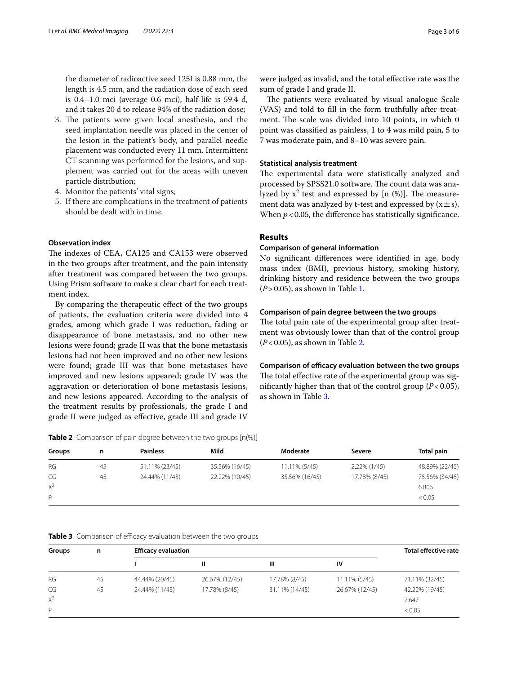the diameter of radioactive seed 125I is 0.88 mm, the length is 4.5 mm, and the radiation dose of each seed is 0.4–1.0 mci (average 0.6 mci), half-life is 59.4 d, and it takes 20 d to release 94% of the radiation dose;

- 3. The patients were given local anesthesia, and the seed implantation needle was placed in the center of the lesion in the patient's body, and parallel needle placement was conducted every 11 mm. Intermittent CT scanning was performed for the lesions, and supplement was carried out for the areas with uneven particle distribution;
- 4. Monitor the patients' vital signs;
- 5. If there are complications in the treatment of patients should be dealt with in time.

## **Observation index**

The indexes of CEA, CA125 and CA153 were observed in the two groups after treatment, and the pain intensity after treatment was compared between the two groups. Using Prism software to make a clear chart for each treatment index.

By comparing the therapeutic efect of the two groups of patients, the evaluation criteria were divided into 4 grades, among which grade I was reduction, fading or disappearance of bone metastasis, and no other new lesions were found; grade II was that the bone metastasis lesions had not been improved and no other new lesions were found; grade III was that bone metastases have improved and new lesions appeared; grade IV was the aggravation or deterioration of bone metastasis lesions, and new lesions appeared. According to the analysis of the treatment results by professionals, the grade I and grade II were judged as efective, grade III and grade IV

<span id="page-2-0"></span>**Table 2** Comparison of pain degree between the two groups [n(%)]

| <b>Groups</b> | n  | <b>Painless</b> | Mild           | Moderate       | Severe        | Total pain     |
|---------------|----|-----------------|----------------|----------------|---------------|----------------|
| <b>RG</b>     | 45 | 51.11% (23/45)  | 35.56% (16/45) | 11.11% (5/45)  | 2.22% (1/45)  | 48.89% (22/45) |
| CG            | 45 | 24.44% (11/45)  | 22.22% (10/45) | 35.56% (16/45) | 17.78% (8/45) | 75.56% (34/45) |
| $X^2$         |    |                 |                |                |               | 6.806          |
| P             |    |                 |                |                |               | < 0.05         |

### <span id="page-2-1"></span>**Table 3** Comparison of efficacy evaluation between the two groups

| Groups    | n  | <b>Efficacy evaluation</b> |                |                |                | <b>Total effective rate</b> |
|-----------|----|----------------------------|----------------|----------------|----------------|-----------------------------|
|           |    |                            | Ш              | Ш              | IV             |                             |
| <b>RG</b> | 45 | 44.44% (20/45)             | 26.67% (12/45) | 17.78% (8/45)  | 11.11% (5/45)  | 71.11% (32/45)              |
| CG        | 45 | 24.44% (11/45)             | 17.78% (8/45)  | 31.11% (14/45) | 26.67% (12/45) | 42.22% (19/45)              |
| $X^2$     |    |                            |                |                |                | 7.647                       |
| P         |    |                            |                |                |                | < 0.05                      |

were judged as invalid, and the total efective rate was the sum of grade I and grade II.

The patients were evaluated by visual analogue Scale (VAS) and told to fll in the form truthfully after treatment. The scale was divided into 10 points, in which 0 point was classifed as painless, 1 to 4 was mild pain, 5 to 7 was moderate pain, and 8–10 was severe pain.

#### **Statistical analysis treatment**

The experimental data were statistically analyzed and processed by SPSS21.0 software. The count data was analyzed by  $x^2$  test and expressed by [n  $(\%)$ ]. The measurement data was analyzed by t-test and expressed by  $(x \pm s)$ . When  $p < 0.05$ , the difference has statistically significance.

#### **Results**

## **Comparison of general information**

No signifcant diferences were identifed in age, body mass index (BMI), previous history, smoking history, drinking history and residence between the two groups (*P*>0.05), as shown in Table [1.](#page-1-0)

#### **Comparison of pain degree between the two groups**

The total pain rate of the experimental group after treatment was obviously lower than that of the control group (*P*<0.05), as shown in Table [2.](#page-2-0)

**Comparison of efficacy evaluation between the two groups** The total effective rate of the experimental group was signifcantly higher than that of the control group (*P*<0.05), as shown in Table [3](#page-2-1).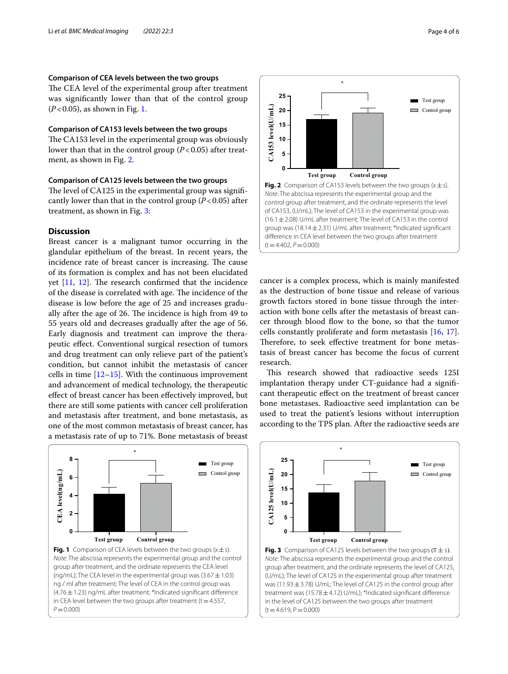## **Comparison of CEA levels between the two groups**

The CEA level of the experimental group after treatment was signifcantly lower than that of the control group (*P*<0.05), as shown in Fig. [1](#page-3-0).

## **Comparison of CA153 levels between the two groups**

The CA153 level in the experimental group was obviously lower than that in the control group  $(P<0.05)$  after treatment, as shown in Fig. [2.](#page-3-1)

## **Comparison of CA125 levels between the two groups**

The level of CA125 in the experimental group was significantly lower than that in the control group (*P*<0.05) after treatment, as shown in Fig. [3](#page-3-2):

## **Discussion**

Breast cancer is a malignant tumor occurring in the glandular epithelium of the breast. In recent years, the incidence rate of breast cancer is increasing. The cause of its formation is complex and has not been elucidated yet  $[11, 12]$  $[11, 12]$  $[11, 12]$  $[11, 12]$ . The research confirmed that the incidence of the disease is correlated with age. The incidence of the disease is low before the age of 25 and increases gradually after the age of 26. The incidence is high from 49 to 55 years old and decreases gradually after the age of 56. Early diagnosis and treatment can improve the therapeutic efect. Conventional surgical resection of tumors and drug treatment can only relieve part of the patient's condition, but cannot inhibit the metastasis of cancer cells in time [\[12–](#page-4-8)[15\]](#page-4-9). With the continuous improvement and advancement of medical technology, the therapeutic efect of breast cancer has been efectively improved, but there are still some patients with cancer cell proliferation and metastasis after treatment, and bone metastasis, as one of the most common metastasis of breast cancer, has a metastasis rate of up to 71%. Bone metastasis of breast

<span id="page-3-0"></span>



<span id="page-3-1"></span>cancer is a complex process, which is mainly manifested as the destruction of bone tissue and release of various growth factors stored in bone tissue through the interaction with bone cells after the metastasis of breast cancer through blood fow to the bone, so that the tumor cells constantly proliferate and form metastasis [[16,](#page-4-10) [17](#page-4-11)]. Therefore, to seek effective treatment for bone metastasis of breast cancer has become the focus of current research.

This research showed that radioactive seeds 125I implantation therapy under CT-guidance had a signifcant therapeutic efect on the treatment of breast cancer bone metastases. Radioactive seed implantation can be used to treat the patient's lesions without interruption according to the TPS plan. After the radioactive seeds are



<span id="page-3-2"></span>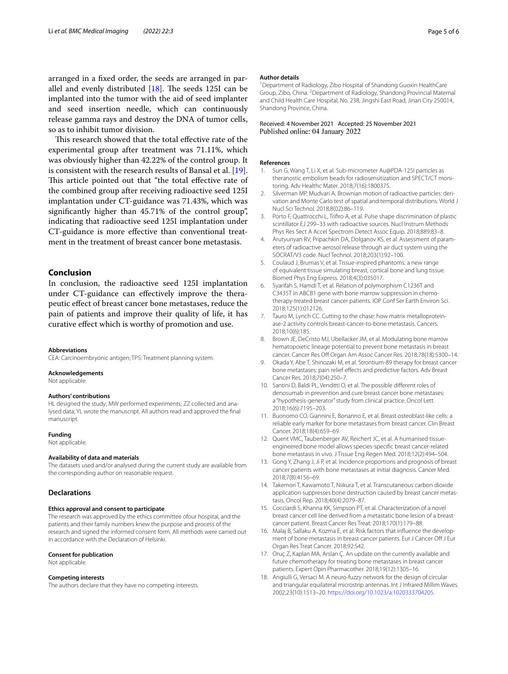arranged in a fxed order, the seeds are arranged in parallel and evenly distributed  $[18]$  $[18]$ . The seeds 125I can be implanted into the tumor with the aid of seed implanter and seed insertion needle, which can continuously release gamma rays and destroy the DNA of tumor cells, so as to inhibit tumor division.

This research showed that the total effective rate of the experimental group after treatment was 71.11%, which was obviously higher than 42.22% of the control group. It is consistent with the research results of Bansal et al. [\[19](#page-5-0)]. This article pointed out that "the total effective rate of the combined group after receiving radioactive seed 125I implantation under CT-guidance was 71.43%, which was signifcantly higher than 45.71% of the control group", indicating that radioactive seed 125I implantation under CT-guidance is more efective than conventional treatment in the treatment of breast cancer bone metastasis.

## **Conclusion**

In conclusion, the radioactive seed 125I implantation under CT-guidance can efectively improve the therapeutic efect of breast cancer bone metastases, reduce the pain of patients and improve their quality of life, it has curative efect which is worthy of promotion and use.

#### **Abbreviations**

CEA: Carcinoembryonic antigen; TPS: Treatment planning system.

#### **Acknowledgements**

Not applicable.

#### **Authors' contributions**

HL designed the study; MW performed experiments; ZZ collected and analysed data; YL wrote the manuscript. All authors read and approved the fnal manuscript.

#### **Funding**

Not applicable.

#### **Availability of data and materials**

The datasets used and/or analysed during the current study are available from the corresponding author on reasonable request.

#### **Declarations**

#### **Ethics approval and consent to participate**

The research was approved by the ethics committee ofour hospital, and the patients and their family numbers knew the purpose and process of the research and signed the informed consent form. All methods were carried out in accordance with the Declaration of Helsinki.

#### **Consent for publication**

Not applicable.

#### **Competing interests**

The authors declare that they have no competing interests.

#### **Author details**

<sup>1</sup> Department of Radiology, Zibo Hospital of Shandong Guoxin HealthCare Group, Zibo, China. <sup>2</sup> Department of Radiology, Shandong Provincial Maternal and Child Health Care Hospital, No. 238, Jingshi East Road, Jinan City 250014, Shandong Province, China.

#### Received: 4 November 2021 Accepted: 25 November 2021 Published online: 04 January 2022

#### **References**

- <span id="page-4-0"></span>1. Sun G, Wang T, Li X, et al. Sub-micrometer Au@PDA-125I particles as theranostic embolism beads for radiosensitization and SPECT/CT monitoring. Adv Healthc Mater. 2018;7(16):1800375.
- <span id="page-4-1"></span>2. Silverman MP, Mudvari A. Brownian motion of radioactive particles: derivation and Monte Carlo test of spatial and temporal distributions. World J Nucl Sci Technol. 2018;8(02):86–119.
- 3. Porto F, Quattrocchi L, Trifro A, et al. Pulse shape discrimination of plastic scintillator EJ 299–33 with radioactive sources. Nucl Instrum Methods Phys Res Sect A Accel Spectrom Detect Assoc Equip. 2018;889:83–8.
- <span id="page-4-2"></span>4. Arutyunyan RV, Pripachkin DA, Dolganov KS, et al. Assessment of parameters of radioactive aerosol release through air duct system using the SOCRAT/V3 code. Nucl Technol. 2018;203(1):92–100.
- <span id="page-4-3"></span>5. Coulaud J, Brumas V, et al. Tissue-inspired phantoms: a new range of equivalent tissue simulating breast, cortical bone and lung tissue. Biomed Phys Eng Express. 2018;4(3):035017.
- 6. Syarifah S, Hamdi T, et al. Relation of polymorphism C1236T and C3435T in ABCB1 gene with bone marrow suppression in chemotherapy-treated breast cancer patients. IOP Conf Ser Earth Environ Sci. 2018;125(1):012126.
- 7. Tauro M, Lynch CC. Cutting to the chase: how matrix metalloproteinase-2 activity controls breast-cancer-to-bone metastasis. Cancers. 2018;10(6):185.
- <span id="page-4-4"></span>8. Brown JE, DeCristo MJ, Ubellacker JM, et al. Modulating bone marrow hematopoietic lineage potential to prevent bone metastasis in breast cancer. Cancer Res Off Organ Am Assoc Cancer Res. 2018;78(18):5300-14.
- <span id="page-4-5"></span>9. Okada Y, Abe T, Shinozaki M, et al. Strontium-89 therapy for breast cancer bone metastases: pain relief effects and predictive factors. Adv Breast Cancer Res. 2018;7(04):250–7.
- <span id="page-4-6"></span>10. Santini D, Baldi PL, Venditti O, et al. The possible diferent roles of denosumab in prevention and cure breast cancer bone metastases: a "hypothesis-generator" study from clinical practice. Oncol Lett. 2018;16(6):7195–203.
- <span id="page-4-7"></span>11. Buonomo CO, Giannini E, Bonanno E, et al. Breast osteoblast-like cells: a reliable early marker for bone metastases from breast cancer. Clin Breast Cancer. 2018;18(4):659–69.
- <span id="page-4-8"></span>12. Quent VMC, Taubenberger AV, Reichert JC, et al. A humanised tissueengineered bone model allows species-specifc breast cancer-related bone metastasis in vivo. J Tissue Eng Regen Med. 2018;12(2):494–504.
- 13. Gong Y, Zhang J, Ji P, et al. Incidence proportions and prognosis of breast cancer patients with bone metastases at initial diagnosis. Cancer Med. 2018;7(8):4156–69.
- 14. Takemori T, Kawamoto T, Niikura T, et al. Transcutaneous carbon dioxide application suppresses bone destruction caused by breast cancer metastasis. Oncol Rep. 2018;40(4):2079–87.
- <span id="page-4-9"></span>15. Cocciardi S, Khanna KK, Simpson PT, et al. Characterization of a novel breast cancer cell line derived from a metastatic bone lesion of a breast cancer patient. Breast Cancer Res Treat. 2018;170(1):179–88.
- <span id="page-4-10"></span>16. Malaj B, Sallaku A, Kozma E, et al. Risk factors that infuence the development of bone metastasis in breast cancer patients. Eur J Cancer Of J Eur Organ Res Treat Cancer. 2018;92:S42.
- <span id="page-4-11"></span>17. Oruç Z, Kaplan MA, Arslan Ç. An update on the currently available and future chemotherapy for treating bone metastases in breast cancer patients. Expert Opin Pharmacother. 2018;19(12):1305–16.
- <span id="page-4-12"></span>18. Angiulli G, Versaci M. A neuro-fuzzy network for the design of circular and triangular equilateral microstrip antennas. Int J Infrared Millim Waves. 2002;23(10):1513–20.<https://doi.org/10.1023/a:1020333704205>.